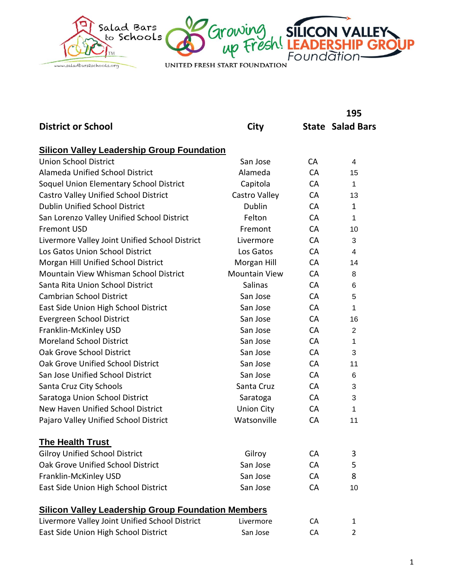

|                                                           |                      |           | 195                     |
|-----------------------------------------------------------|----------------------|-----------|-------------------------|
| <b>District or School</b>                                 | City                 |           | <b>State Salad Bars</b> |
| <b>Silicon Valley Leadership Group Foundation</b>         |                      |           |                         |
| <b>Union School District</b>                              | San Jose             | CA        | 4                       |
| <b>Alameda Unified School District</b>                    | Alameda              | <b>CA</b> | 15                      |
| Soquel Union Elementary School District                   | Capitola             | <b>CA</b> | 1                       |
| Castro Valley Unified School District                     | Castro Valley        | <b>CA</b> | 13                      |
| <b>Dublin Unified School District</b>                     | <b>Dublin</b>        | <b>CA</b> | 1                       |
| San Lorenzo Valley Unified School District                | Felton               | <b>CA</b> | 1                       |
| <b>Fremont USD</b>                                        | Fremont              | <b>CA</b> | 10                      |
| Livermore Valley Joint Unified School District            | Livermore            | <b>CA</b> | 3                       |
| Los Gatos Union School District                           | Los Gatos            | <b>CA</b> | 4                       |
| Morgan Hill Unified School District                       | Morgan Hill          | CA        | 14                      |
| Mountain View Whisman School District                     | <b>Mountain View</b> | <b>CA</b> | 8                       |
| Santa Rita Union School District                          | <b>Salinas</b>       | <b>CA</b> | 6                       |
| Cambrian School District                                  | San Jose             | <b>CA</b> | 5                       |
| East Side Union High School District                      | San Jose             | <b>CA</b> | 1                       |
| Evergreen School District                                 | San Jose             | <b>CA</b> | 16                      |
| Franklin-McKinley USD                                     | San Jose             | <b>CA</b> | 2                       |
| <b>Moreland School District</b>                           | San Jose             | <b>CA</b> | 1                       |
| Oak Grove School District                                 | San Jose             | <b>CA</b> | 3                       |
| Oak Grove Unified School District                         | San Jose             | <b>CA</b> | 11                      |
| San Jose Unified School District                          | San Jose             | CA        | 6                       |
| Santa Cruz City Schools                                   | Santa Cruz           | <b>CA</b> | 3                       |
| Saratoga Union School District                            | Saratoga             | CA        | 3                       |
| New Haven Unified School District                         | <b>Union City</b>    | <b>CA</b> | 1                       |
| Pajaro Valley Unified School District                     | Watsonville          | CA        | 11                      |
| <b>The Health Trust</b>                                   |                      |           |                         |
| <b>Gilroy Unified School District</b>                     | Gilroy               | СA        | 3                       |
| Oak Grove Unified School District                         | San Jose             | CA        | 5                       |
| Franklin-McKinley USD                                     | San Jose             | CA        | 8                       |
| East Side Union High School District                      | San Jose             | CA        | 10                      |
| <b>Silicon Valley Leadership Group Foundation Members</b> |                      |           |                         |
| Livermore Valley Joint Unified School District            | Livermore            | CA        | $\mathbf{1}$            |
| East Side Union High School District                      | San Jose             | CA        | 2                       |